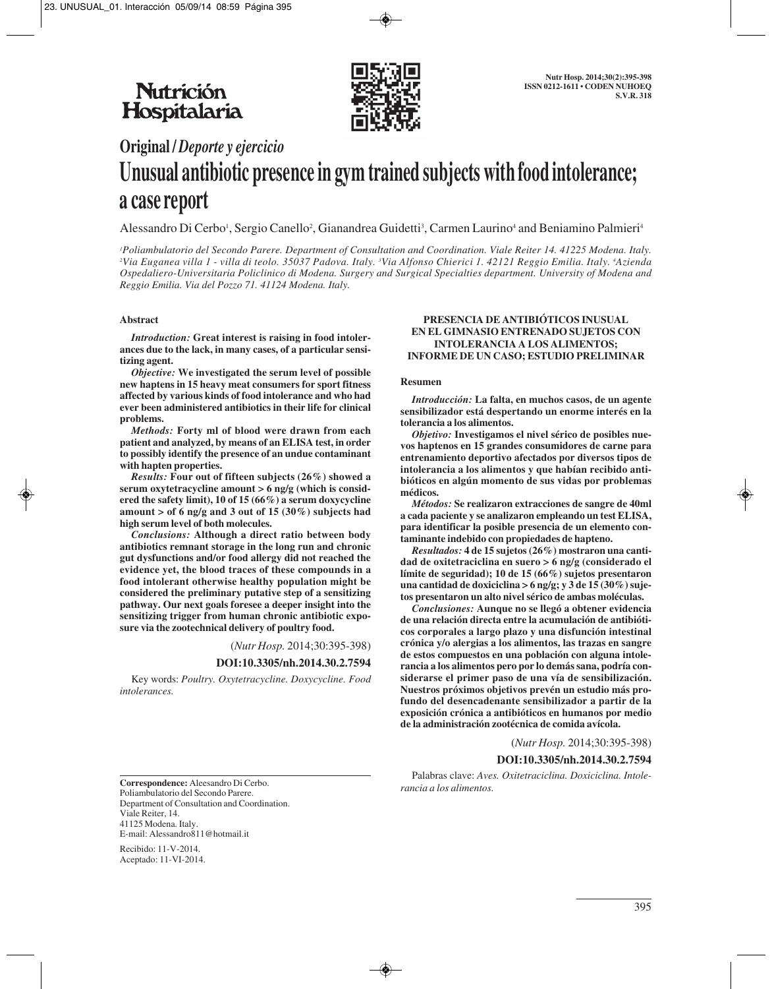

# **Original /** *Deporte y ejercicio* **Unusual antibiotic presence in gym trained subjects with food intolerance; a case report**

Alessandro Di Cerbo<sup>1</sup>, Sergio Canello<sup>2</sup>, Gianandrea Guidetti<sup>3</sup>, Carmen Laurino<sup>4</sup> and Beniamino Palmieri<sup>4</sup>

*1 Poliambulatorio del Secondo Parere. Department of Consultation and Coordination. Viale Reiter 14. 41225 Modena. Italy. 2 Via Euganea villa 1 - villa di teolo. 35037 Padova. Italy. 3 Via Alfonso Chierici 1. 42121 Reggio Emilia. Italy. 4 Azienda Ospedaliero-Universitaria Policlinico di Modena. Surgery and Surgical Specialties department. University of Modena and Reggio Emilia. Via del Pozzo 71. 41124 Modena. Italy.*

## **Abstract**

*Introduction:* **Great interest is raising in food intolerances due to the lack, in many cases, of a particular sensitizing agent.**

*Objective:* **We investigated the serum level of possible new haptens in 15 heavy meat consumers for sport fitness affected by various kinds of food intolerance and who had ever been administered antibiotics in their life for clinical problems.**

*Methods:* **Forty ml of blood were drawn from each patient and analyzed, by means of an ELISA test, in order to possibly identify the presence of an undue contaminant with hapten properties.**

*Results:* **Four out of fifteen subjects (26%) showed a serum oxytetracycline amount > 6 ng/g (which is considered the safety limit), 10 of 15 (66%) a serum doxycycline amount > of 6 ng/g and 3 out of 15 (30%) subjects had high serum level of both molecules.** 

*Conclusions:* **Although a direct ratio between body antibiotics remnant storage in the long run and chronic gut dysfunctions and/or food allergy did not reached the evidence yet, the blood traces of these compounds in a food intolerant otherwise healthy population might be considered the preliminary putative step of a sensitizing pathway. Our next goals foresee a deeper insight into the sensitizing trigger from human chronic antibiotic exposure via the zootechnical delivery of poultry food.** 

(*Nutr Hosp.* 2014;30:395-398)

**DOI:10.3305/nh.2014.30.2.7594**

Key words: *Poultry. Oxytetracycline. Doxycycline. Food intolerances.*

#### **PRESENCIA DE ANTIBIÓTICOS INUSUAL EN EL GIMNASIO ENTRENADO SUJETOS CON INTOLERANCIA A LOS ALIMENTOS; INFORME DE UN CASO; ESTUDIO PRELIMINAR**

#### **Resumen**

*Introducción:* **La falta, en muchos casos, de un agente sensibilizador está despertando un enorme interés en la tolerancia a los alimentos.**

*Objetivo:* **Investigamos el nivel sérico de posibles nuevos haptenos en 15 grandes consumidores de carne para entrenamiento deportivo afectados por diversos tipos de intolerancia a los alimentos y que habían recibido antibióticos en algún momento de sus vidas por problemas médicos.**

*Métodos:* **Se realizaron extracciones de sangre de 40ml a cada paciente y se analizaron empleando un test ELISA, para identificar la posible presencia de un elemento contaminante indebido con propiedades de hapteno.**

*Resultados:* **4 de 15 sujetos (26%) mostraron una cantidad de oxitetraciclina en suero > 6 ng/g (considerado el límite de seguridad); 10 de 15 (66%) sujetos presentaron una cantidad de doxiciclina > 6 ng/g; y 3 de 15 (30%) sujetos presentaron un alto nivel sérico de ambas moléculas.** 

*Conclusiones:* **Aunque no se llegó a obtener evidencia de una relación directa entre la acumulación de antibióticos corporales a largo plazo y una disfunción intestinal crónica y/o alergias a los alimentos, las trazas en sangre de estos compuestos en una población con alguna intolerancia a los alimentos pero por lo demás sana, podría considerarse el primer paso de una vía de sensibilización. Nuestros próximos objetivos prevén un estudio más profundo del desencadenante sensibilizador a partir de la exposición crónica a antibióticos en humanos por medio de la administración zootécnica de comida avícola.**

(*Nutr Hosp.* 2014;30:395-398)

#### **DOI:10.3305/nh.2014.30.2.7594**

Palabras clave: *Aves. Oxitetraciclina. Doxiciclina. Intolerancia a los alimentos.*

**Correspondence:** Aleesandro Di Cerbo. Poliambulatorio del Secondo Parere. Department of Consultation and Coordination. Viale Reiter, 14. 41125 Modena. Italy. E-mail: Alessandro811@hotmail.it

Recibido: 11-V-2014. Aceptado: 11-VI-2014.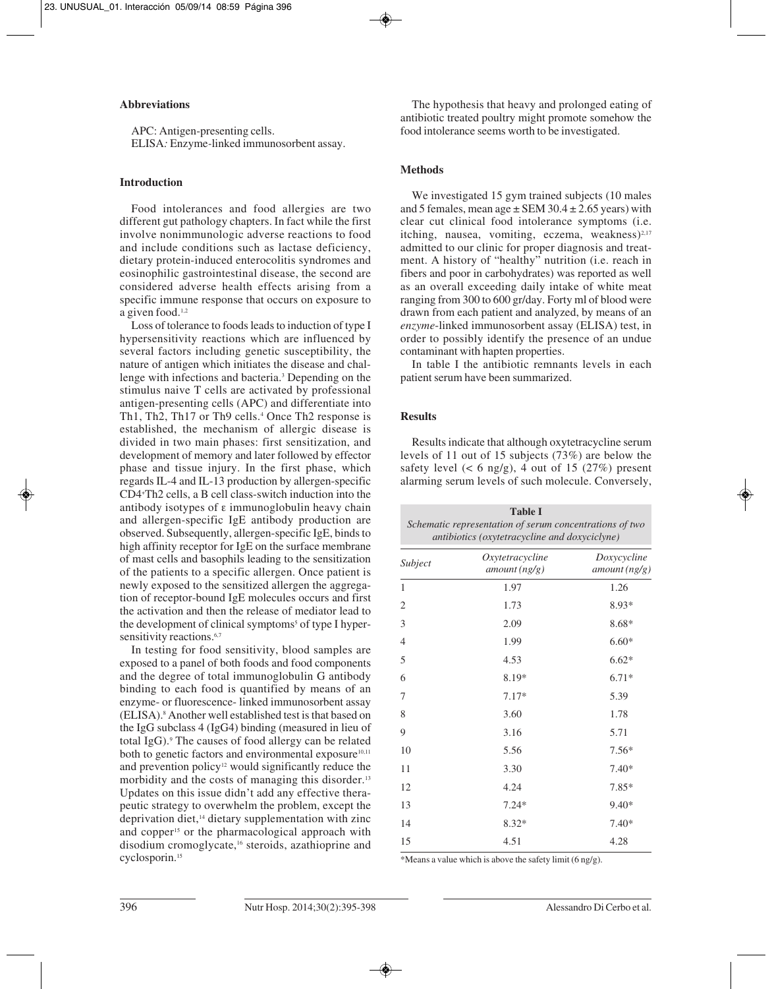#### **Abbreviations**

APC: Antigen-presenting cells. ELISA*:* Enzyme*-*linked immunosorbent assay.

#### **Introduction**

Food intolerances and food allergies are two different gut pathology chapters. In fact while the first involve nonimmunologic adverse reactions to food and include conditions such as lactase deficiency, dietary protein-induced enterocolitis syndromes and eosinophilic gastrointestinal disease, the second are considered adverse health effects arising from a specific immune response that occurs on exposure to a given food.<sup>1,2</sup>

Loss of tolerance to foods leads to induction of type I hypersensitivity reactions which are influenced by several factors including genetic susceptibility, the nature of antigen which initiates the disease and challenge with infections and bacteria.3 Depending on the stimulus naive T cells are activated by professional antigen-presenting cells (APC) and differentiate into Th1, Th2, Th17 or Th9 cells.<sup>4</sup> Once Th2 response is established, the mechanism of allergic disease is divided in two main phases: first sensitization, and development of memory and later followed by effector phase and tissue injury. In the first phase, which regards IL-4 and IL-13 production by allergen-specific CD4+ Th2 cells, a B cell class-switch induction into the antibody isotypes of ε immunoglobulin heavy chain and allergen-specific IgE antibody production are observed. Subsequently, allergen-specific IgE, binds to high affinity receptor for IgE on the surface membrane of mast cells and basophils leading to the sensitization of the patients to a specific allergen. Once patient is newly exposed to the sensitized allergen the aggregation of receptor-bound IgE molecules occurs and first the activation and then the release of mediator lead to the development of clinical symptoms<sup>5</sup> of type I hypersensitivity reactions.<sup>6,7</sup>

In testing for food sensitivity, blood samples are exposed to a panel of both foods and food components and the degree of total immunoglobulin G antibody binding to each food is quantified by means of an enzyme- or fluorescence- linked immunosorbent assay (ELISA).8 Another well established test is that based on the IgG subclass 4 (IgG4) binding (measured in lieu of total IgG).<sup>9</sup> The causes of food allergy can be related both to genetic factors and environmental exposure<sup>10,11</sup> and prevention policy<sup>12</sup> would significantly reduce the morbidity and the costs of managing this disorder.<sup>13</sup> Updates on this issue didn't add any effective therapeutic strategy to overwhelm the problem, except the deprivation diet,<sup>14</sup> dietary supplementation with zinc and copper<sup>15</sup> or the pharmacological approach with disodium cromoglycate,<sup>16</sup> steroids, azathioprine and cyclosporin.15

The hypothesis that heavy and prolonged eating of antibiotic treated poultry might promote somehow the food intolerance seems worth to be investigated.

#### **Methods**

We investigated 15 gym trained subjects (10 males and 5 females, mean age  $\pm$  SEM 30.4  $\pm$  2.65 years) with clear cut clinical food intolerance symptoms (i.e. itching, nausea, vomiting, eczema, weakness $)^{2,17}$ admitted to our clinic for proper diagnosis and treatment. A history of "healthy" nutrition (i.e. reach in fibers and poor in carbohydrates) was reported as well as an overall exceeding daily intake of white meat ranging from 300 to 600 gr/day. Forty ml of blood were drawn from each patient and analyzed, by means of an *enzyme*-linked immunosorbent assay (ELISA) test, in order to possibly identify the presence of an undue contaminant with hapten properties.

In table I the antibiotic remnants levels in each patient serum have been summarized.

#### **Results**

Results indicate that although oxytetracycline serum levels of 11 out of 15 subjects (73%) are below the safety level  $(< 6 \text{ ng/g})$ , 4 out of 15 (27%) present alarming serum levels of such molecule. Conversely,

| <b>Table I</b><br>Schematic representation of serum concentrations of two<br>antibiotics (oxytetracycline and doxyciclyne) |                                 |                             |
|----------------------------------------------------------------------------------------------------------------------------|---------------------------------|-----------------------------|
| Subject                                                                                                                    | Oxytetracycline<br>amount(ng/g) | Doxycycline<br>amount(ng/g) |
| 1                                                                                                                          | 1.97                            | 1.26                        |
| 2                                                                                                                          | 1.73                            | $8.93*$                     |
| 3                                                                                                                          | 2.09                            | $8.68*$                     |
| $\overline{4}$                                                                                                             | 1.99                            | $6.60*$                     |
| 5                                                                                                                          | 4.53                            | $6.62*$                     |
| 6                                                                                                                          | 8.19*                           | $6.71*$                     |
| 7                                                                                                                          | $7.17*$                         | 5.39                        |
| 8                                                                                                                          | 3.60                            | 1.78                        |
| 9                                                                                                                          | 3.16                            | 5.71                        |
| 10                                                                                                                         | 5.56                            | $7.56*$                     |
| 11                                                                                                                         | 3.30                            | $7.40*$                     |
| 12                                                                                                                         | 4.24                            | $7.85*$                     |
| 13                                                                                                                         | $7.24*$                         | $9.40*$                     |
| 14                                                                                                                         | $8.32*$                         | $7.40*$                     |
| 15                                                                                                                         | 4.51                            | 4.28                        |

\*Means a value which is above the safety limit (6 ng/g).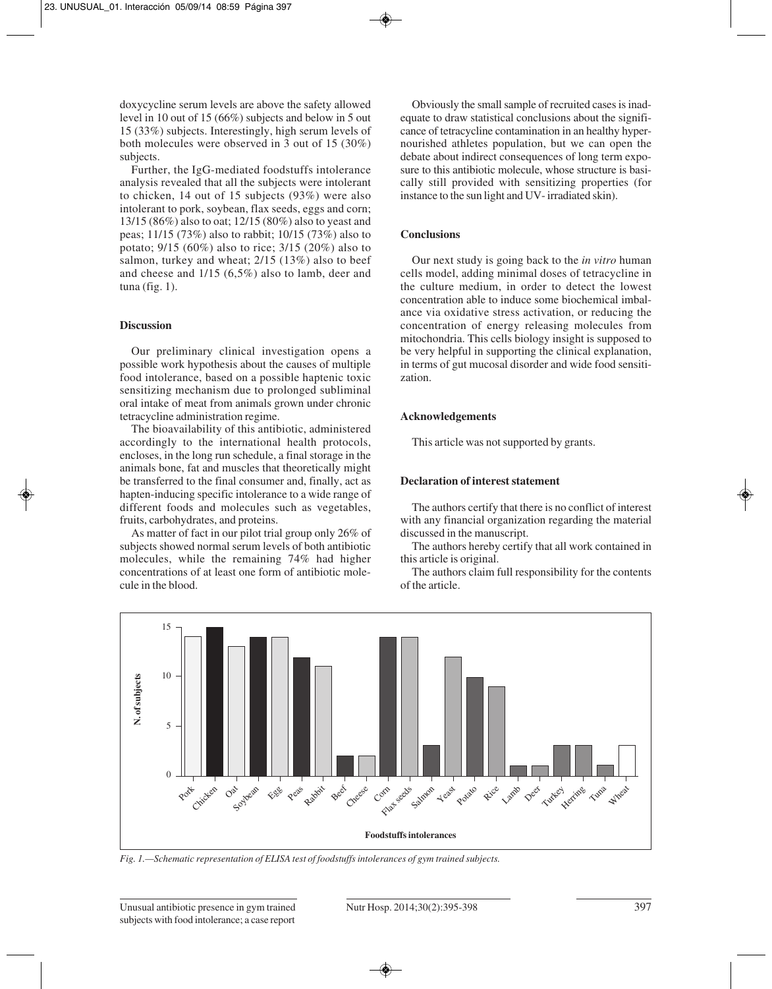doxycycline serum levels are above the safety allowed level in 10 out of 15 (66%) subjects and below in 5 out 15 (33%) subjects. Interestingly, high serum levels of both molecules were observed in 3 out of 15 (30%) subjects.

Further, the IgG-mediated foodstuffs intolerance analysis revealed that all the subjects were intolerant to chicken, 14 out of 15 subjects (93%) were also intolerant to pork, soybean, flax seeds, eggs and corn; 13/15 (86%) also to oat; 12/15 (80%) also to yeast and peas; 11/15 (73%) also to rabbit; 10/15 (73%) also to potato; 9/15 (60%) also to rice; 3/15 (20%) also to salmon, turkey and wheat; 2/15 (13%) also to beef and cheese and 1/15 (6,5%) also to lamb, deer and tuna (fig.  $1$ ).

# **Discussion**

Our preliminary clinical investigation opens a possible work hypothesis about the causes of multiple food intolerance, based on a possible haptenic toxic sensitizing mechanism due to prolonged subliminal oral intake of meat from animals grown under chronic tetracycline administration regime.

The bioavailability of this antibiotic, administered accordingly to the international health protocols, encloses, in the long run schedule, a final storage in the animals bone, fat and muscles that theoretically might be transferred to the final consumer and, finally, act as hapten-inducing specific intolerance to a wide range of different foods and molecules such as vegetables, fruits, carbohydrates, and proteins.

As matter of fact in our pilot trial group only 26% of subjects showed normal serum levels of both antibiotic molecules, while the remaining 74% had higher concentrations of at least one form of antibiotic molecule in the blood.

Obviously the small sample of recruited cases is inadequate to draw statistical conclusions about the significance of tetracycline contamination in an healthy hypernourished athletes population, but we can open the debate about indirect consequences of long term exposure to this antibiotic molecule, whose structure is basically still provided with sensitizing properties (for instance to the sun light and UV- irradiated skin).

# **Conclusions**

Our next study is going back to the *in vitro* human cells model, adding minimal doses of tetracycline in the culture medium, in order to detect the lowest concentration able to induce some biochemical imbalance via oxidative stress activation, or reducing the concentration of energy releasing molecules from mitochondria. This cells biology insight is supposed to be very helpful in supporting the clinical explanation, in terms of gut mucosal disorder and wide food sensitization.

## **Acknowledgements**

This article was not supported by grants.

## **Declaration of interest statement**

The authors certify that there is no conflict of interest with any financial organization regarding the material discussed in the manuscript.

The authors hereby certify that all work contained in this article is original.

The authors claim full responsibility for the contents of the article.



*Fig. 1.—Schematic representation of ELISA test of foodstuffs intolerances of gym trained subjects.*